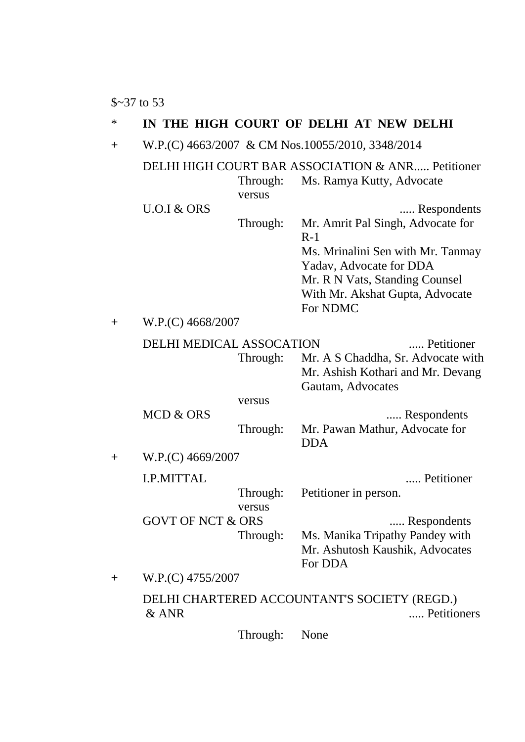\$~37 to 53

## \* **IN THE HIGH COURT OF DELHI AT NEW DELHI**

+ W.P.(C) 4663/2007 & CM Nos.10055/2010, 3348/2014

|                    |                              |          | DELHI HIGH COURT BAR ASSOCIATION & ANR Petitioner                                            |  |
|--------------------|------------------------------|----------|----------------------------------------------------------------------------------------------|--|
|                    |                              | Through: | Ms. Ramya Kutty, Advocate                                                                    |  |
|                    |                              | versus   |                                                                                              |  |
|                    | $U.O.I$ & ORS                |          | Respondents                                                                                  |  |
|                    |                              | Through: | Mr. Amrit Pal Singh, Advocate for<br>$R-1$                                                   |  |
|                    |                              |          | Ms. Mrinalini Sen with Mr. Tanmay<br>Yadav, Advocate for DDA                                 |  |
|                    |                              |          | Mr. R N Vats, Standing Counsel                                                               |  |
|                    |                              |          | With Mr. Akshat Gupta, Advocate<br>For NDMC                                                  |  |
| $\hspace{0.1mm} +$ | W.P.(C) 4668/2007            |          |                                                                                              |  |
|                    | DELHI MEDICAL ASSOCATION     |          | Petitioner                                                                                   |  |
|                    |                              | Through: | Mr. A S Chaddha, Sr. Advocate with<br>Mr. Ashish Kothari and Mr. Devang<br>Gautam, Advocates |  |
|                    |                              | versus   |                                                                                              |  |
|                    | <b>MCD &amp; ORS</b>         |          | Respondents                                                                                  |  |
|                    |                              | Through: | Mr. Pawan Mathur, Advocate for<br><b>DDA</b>                                                 |  |
| $\hspace{0.1mm} +$ | W.P.(C) 4669/2007            |          |                                                                                              |  |
|                    | <b>I.P.MITTAL</b>            |          | Petitioner                                                                                   |  |
|                    |                              | Through: | Petitioner in person.                                                                        |  |
|                    |                              | versus   |                                                                                              |  |
|                    | <b>GOVT OF NCT &amp; ORS</b> |          | Respondents                                                                                  |  |
|                    |                              | Through: | Ms. Manika Tripathy Pandey with<br>Mr. Ashutosh Kaushik, Advocates<br>For DDA                |  |
| $\overline{+}$     | W.P.(C) 4755/2007            |          |                                                                                              |  |
|                    | $&$ ANR                      |          | DELHI CHARTERED ACCOUNTANT'S SOCIETY (REGD.)<br>Petitioners                                  |  |

Through: None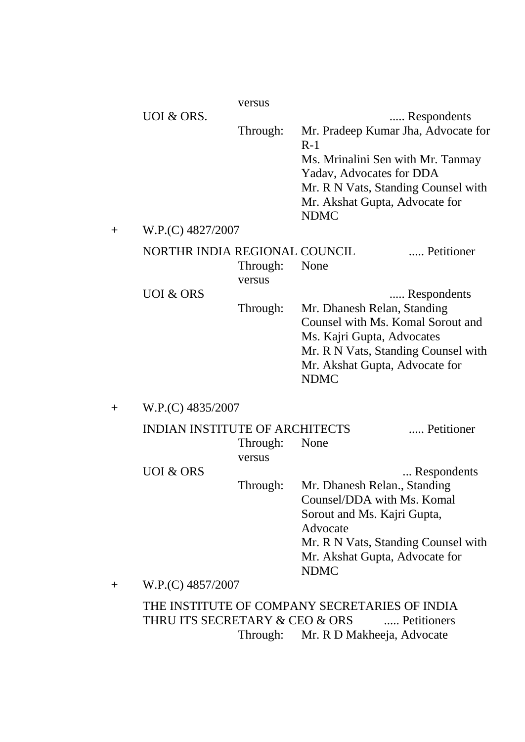|                                         |                                       | versus             |                                                                                                                                                                                                       |             |  |
|-----------------------------------------|---------------------------------------|--------------------|-------------------------------------------------------------------------------------------------------------------------------------------------------------------------------------------------------|-------------|--|
|                                         | UOI & ORS.                            | Through:           | Mr. Pradeep Kumar Jha, Advocate for<br>$R-1$<br>Ms. Mrinalini Sen with Mr. Tanmay<br>Yadav, Advocates for DDA<br>Mr. R N Vats, Standing Counsel with<br>Mr. Akshat Gupta, Advocate for<br><b>NDMC</b> | Respondents |  |
| W.P.(C) 4827/2007<br>$\hspace{0.1mm} +$ |                                       |                    |                                                                                                                                                                                                       |             |  |
|                                         | NORTHR INDIA REGIONAL COUNCIL         | Through:<br>versus | None                                                                                                                                                                                                  | Petitioner  |  |
|                                         | <b>UOI &amp; ORS</b>                  | Through:           | Mr. Dhanesh Relan, Standing<br>Counsel with Ms. Komal Sorout and<br>Ms. Kajri Gupta, Advocates<br>Mr. R N Vats, Standing Counsel with<br>Mr. Akshat Gupta, Advocate for<br><b>NDMC</b>                | Respondents |  |
| $\mathrm{+}$                            | W.P.(C) 4835/2007                     |                    |                                                                                                                                                                                                       |             |  |
|                                         | <b>INDIAN INSTITUTE OF ARCHITECTS</b> | Through:<br>versus | None                                                                                                                                                                                                  | Petitioner  |  |
|                                         | <b>UOI &amp; ORS</b>                  | Through:           | Mr. Dhanesh Relan., Standing<br>Counsel/DDA with Ms. Komal<br>Sorout and Ms. Kajri Gupta,<br>Advocate<br>Mr. R N Vats, Standing Counsel with<br>Mr. Akshat Gupta, Advocate for                        | Respondents |  |

+ W.P.(C) 4857/2007

THE INSTITUTE OF COMPANY SECRETARIES OF INDIA THRU ITS SECRETARY & CEO & ORS ..... Petitioners Through: Mr. R D Makheeja, Advocate

NDMC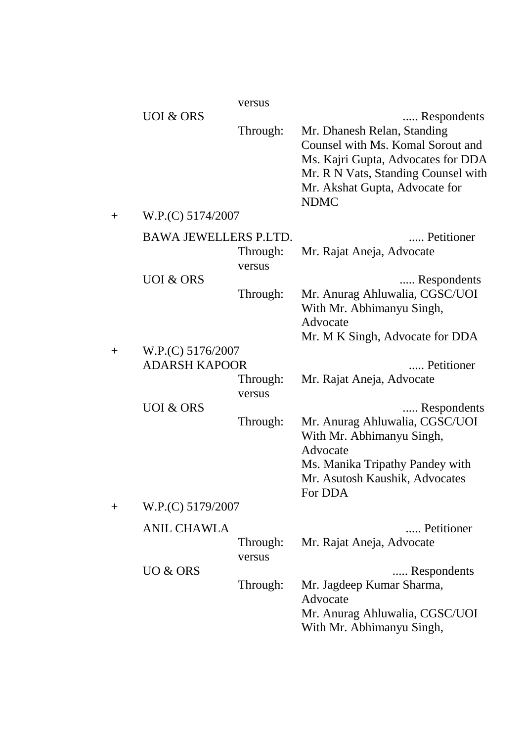|        |                                           | versus             |                                                                                                                                                                                                               |
|--------|-------------------------------------------|--------------------|---------------------------------------------------------------------------------------------------------------------------------------------------------------------------------------------------------------|
|        | <b>UOI &amp; ORS</b>                      | Through:           | Respondents<br>Mr. Dhanesh Relan, Standing<br>Counsel with Ms. Komal Sorout and<br>Ms. Kajri Gupta, Advocates for DDA<br>Mr. R N Vats, Standing Counsel with<br>Mr. Akshat Gupta, Advocate for<br><b>NDMC</b> |
| $^{+}$ | W.P.(C) 5174/2007                         |                    |                                                                                                                                                                                                               |
|        | <b>BAWA JEWELLERS P.LTD.</b>              | Through:<br>versus | Petitioner<br>Mr. Rajat Aneja, Advocate                                                                                                                                                                       |
|        | <b>UOI &amp; ORS</b>                      | Through:           | Respondents<br>Mr. Anurag Ahluwalia, CGSC/UOI<br>With Mr. Abhimanyu Singh,<br>Advocate<br>Mr. M K Singh, Advocate for DDA                                                                                     |
| $^{+}$ | W.P.(C) 5176/2007<br><b>ADARSH KAPOOR</b> | Through:<br>versus | Petitioner<br>Mr. Rajat Aneja, Advocate                                                                                                                                                                       |
| $^{+}$ | <b>UOI &amp; ORS</b><br>W.P.(C) 5179/2007 | Through:           | Respondents<br>Mr. Anurag Ahluwalia, CGSC/UOI<br>With Mr. Abhimanyu Singh,<br>Advocate<br>Ms. Manika Tripathy Pandey with<br>Mr. Asutosh Kaushik, Advocates<br>For DDA                                        |
|        | <b>ANIL CHAWLA</b>                        | Through:<br>versus | Petitioner<br>Mr. Rajat Aneja, Advocate                                                                                                                                                                       |
|        | UO & ORS                                  | Through:           | Respondents<br>Mr. Jagdeep Kumar Sharma,<br>Advocate<br>Mr. Anurag Ahluwalia, CGSC/UOI<br>With Mr. Abhimanyu Singh,                                                                                           |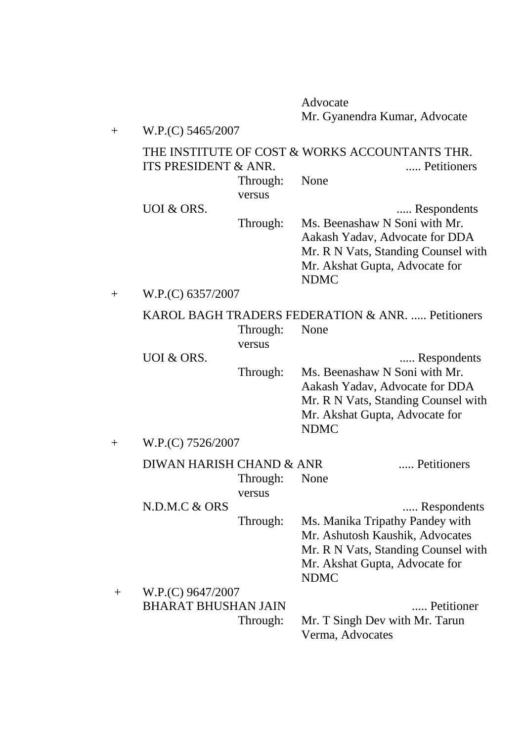Advocate Mr. Gyanendra Kumar, Advocate

|                    |                                                   |                    | Mr. Gyanendra Kumar, Advocate                                                                                                                           |  |  |
|--------------------|---------------------------------------------------|--------------------|---------------------------------------------------------------------------------------------------------------------------------------------------------|--|--|
| $^{+}$             | W.P.(C) 5465/2007                                 |                    |                                                                                                                                                         |  |  |
|                    | ITS PRESIDENT & ANR.                              |                    | THE INSTITUTE OF COST & WORKS ACCOUNTANTS THR.<br>Petitioners                                                                                           |  |  |
|                    |                                                   | Through:<br>versus | None                                                                                                                                                    |  |  |
|                    | <b>UOI &amp; ORS.</b>                             |                    | Respondents                                                                                                                                             |  |  |
|                    |                                                   | Through:           | Ms. Beenashaw N Soni with Mr.<br>Aakash Yadav, Advocate for DDA<br>Mr. R N Vats, Standing Counsel with<br>Mr. Akshat Gupta, Advocate for                |  |  |
|                    |                                                   |                    | <b>NDMC</b>                                                                                                                                             |  |  |
| $\hspace{.01in} +$ | W.P.(C) 6357/2007                                 |                    |                                                                                                                                                         |  |  |
|                    | KAROL BAGH TRADERS FEDERATION & ANR.  Petitioners |                    |                                                                                                                                                         |  |  |
|                    |                                                   | Through:<br>versus | None                                                                                                                                                    |  |  |
|                    | <b>UOI &amp; ORS.</b>                             |                    | Respondents                                                                                                                                             |  |  |
|                    |                                                   | Through:           | Ms. Beenashaw N Soni with Mr.<br>Aakash Yadav, Advocate for DDA<br>Mr. R N Vats, Standing Counsel with<br>Mr. Akshat Gupta, Advocate for<br><b>NDMC</b> |  |  |
| $\hspace{0.1mm} +$ | W.P.(C) 7526/2007                                 |                    |                                                                                                                                                         |  |  |
|                    | DIWAN HARISH CHAND & ANR                          | Through:<br>versus | Petitioners<br>None                                                                                                                                     |  |  |
|                    | N.D.M.C & ORS                                     |                    | Respondents                                                                                                                                             |  |  |
|                    |                                                   | Through:           | Ms. Manika Tripathy Pandey with                                                                                                                         |  |  |
|                    |                                                   |                    | Mr. Ashutosh Kaushik, Advocates                                                                                                                         |  |  |
|                    |                                                   |                    | Mr. R N Vats, Standing Counsel with<br>Mr. Akshat Gupta, Advocate for<br><b>NDMC</b>                                                                    |  |  |
|                    | W.P.(C) 9647/2007                                 |                    |                                                                                                                                                         |  |  |

+ W.P.(C) 9647/2007<br>BHARAT BHUSHAN JAIN BHARAT BHUSHAN JAIN ..... Petitioner Through: Mr. T Singh Dev with Mr. Tarun Verma, Advocates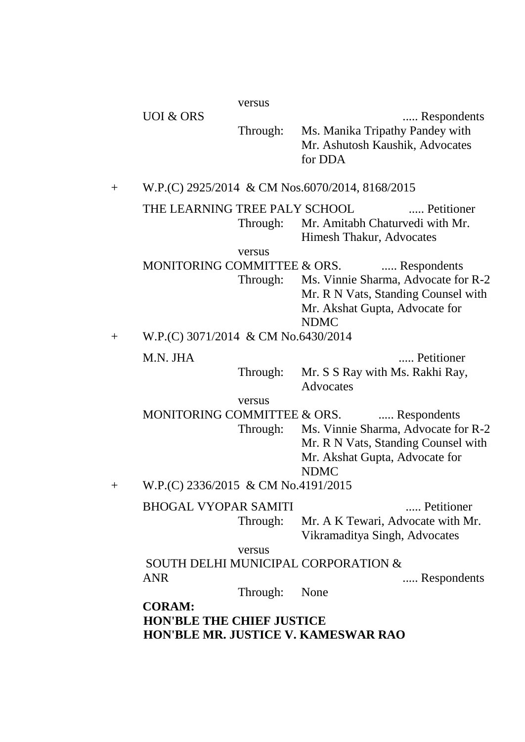UOI & ORS ...... Respondents Through: Ms. Manika Tripathy Pandey with Mr. Ashutosh Kaushik, Advocates for DDA

+ W.P.(C) 2925/2014 & CM Nos.6070/2014, 8168/2015

THE LEARNING TREE PALY SCHOOL ...... Petitioner Through: Mr. Amitabh Chaturvedi with Mr. Himesh Thakur, Advocates

#### versus

MONITORING COMMITTEE & ORS. ..... Respondents Through: Ms. Vinnie Sharma, Advocate for R-2 Mr. R N Vats, Standing Counsel with Mr. Akshat Gupta, Advocate for NDMC

+ W.P.(C) 3071/2014 & CM No.6430/2014

M.N. JHA ...... Petitioner

Through: Mr. S S Ray with Ms. Rakhi Ray, Advocates

versus

MONITORING COMMITTEE & ORS. ..... Respondents

Through: Ms. Vinnie Sharma, Advocate for R-2 Mr. R N Vats, Standing Counsel with Mr. Akshat Gupta, Advocate for NDMC

+ W.P.(C) 2336/2015 & CM No.4191/2015

BHOGAL VYOPAR SAMITI ...... Petitioner

Through: Mr. A K Tewari, Advocate with Mr. Vikramaditya Singh, Advocates

versus

SOUTH DELHI MUNICIPAL CORPORATION & ANR ...... Respondents

Through: None

**CORAM: HON'BLE THE CHIEF JUSTICE HON'BLE MR. JUSTICE V. KAMESWAR RAO**